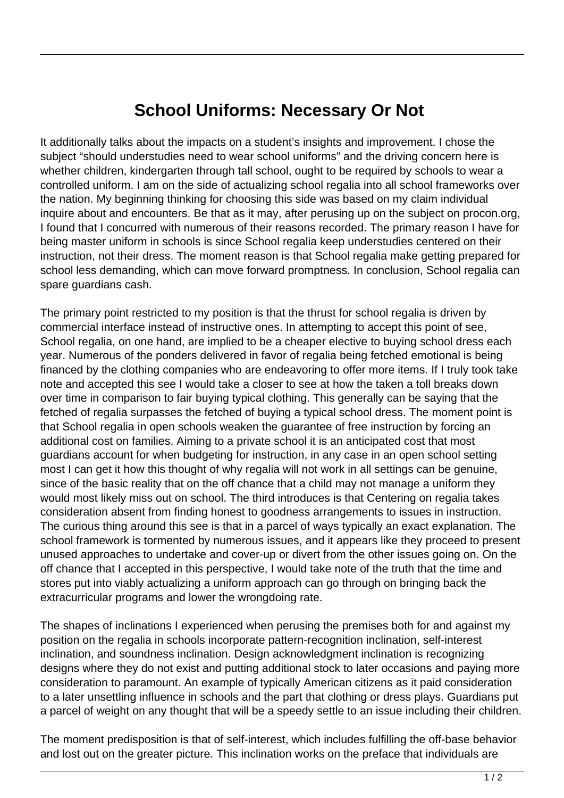## **School Uniforms: Necessary Or Not**

It additionally talks about the impacts on a student's insights and improvement. I chose the subject "should understudies need to wear school uniforms" and the driving concern here is whether children, kindergarten through tall school, ought to be required by schools to wear a controlled uniform. I am on the side of actualizing school regalia into all school frameworks over the nation. My beginning thinking for choosing this side was based on my claim individual inquire about and encounters. Be that as it may, after perusing up on the subject on procon.org, I found that I concurred with numerous of their reasons recorded. The primary reason I have for being master uniform in schools is since School regalia keep understudies centered on their instruction, not their dress. The moment reason is that School regalia make getting prepared for school less demanding, which can move forward promptness. In conclusion, School regalia can spare guardians cash.

The primary point restricted to my position is that the thrust for school regalia is driven by commercial interface instead of instructive ones. In attempting to accept this point of see, School regalia, on one hand, are implied to be a cheaper elective to buying school dress each year. Numerous of the ponders delivered in favor of regalia being fetched emotional is being financed by the clothing companies who are endeavoring to offer more items. If I truly took take note and accepted this see I would take a closer to see at how the taken a toll breaks down over time in comparison to fair buying typical clothing. This generally can be saying that the fetched of regalia surpasses the fetched of buying a typical school dress. The moment point is that School regalia in open schools weaken the guarantee of free instruction by forcing an additional cost on families. Aiming to a private school it is an anticipated cost that most guardians account for when budgeting for instruction, in any case in an open school setting most I can get it how this thought of why regalia will not work in all settings can be genuine, since of the basic reality that on the off chance that a child may not manage a uniform they would most likely miss out on school. The third introduces is that Centering on regalia takes consideration absent from finding honest to goodness arrangements to issues in instruction. The curious thing around this see is that in a parcel of ways typically an exact explanation. The school framework is tormented by numerous issues, and it appears like they proceed to present unused approaches to undertake and cover-up or divert from the other issues going on. On the off chance that I accepted in this perspective, I would take note of the truth that the time and stores put into viably actualizing a uniform approach can go through on bringing back the extracurricular programs and lower the wrongdoing rate.

The shapes of inclinations I experienced when perusing the premises both for and against my position on the regalia in schools incorporate pattern-recognition inclination, self-interest inclination, and soundness inclination. Design acknowledgment inclination is recognizing designs where they do not exist and putting additional stock to later occasions and paying more consideration to paramount. An example of typically American citizens as it paid consideration to a later unsettling influence in schools and the part that clothing or dress plays. Guardians put a parcel of weight on any thought that will be a speedy settle to an issue including their children.

The moment predisposition is that of self-interest, which includes fulfilling the off-base behavior and lost out on the greater picture. This inclination works on the preface that individuals are